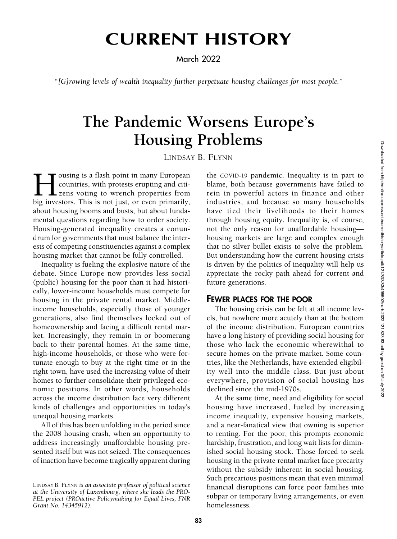# CURRENT HISTORY

March 2022

"[G]rowing levels of wealth inequality further perpetuate housing challenges for most people."

## The Pandemic Worsens Europe's Housing Problems

LINDSAY B. FLYNN

ousing is a flash point in many European countries, with protests erupting and citizens voting to wrench properties from big investors. This is not just, or even primarily, about housing booms and busts, but about fundamental questions regarding how to order society. Housing-generated inequality creates a conundrum for governments that must balance the interests of competing constituencies against a complex housing market that cannot be fully controlled.

Inequality is fueling the explosive nature of the debate. Since Europe now provides less social (public) housing for the poor than it had historically, lower-income households must compete for housing in the private rental market. Middleincome households, especially those of younger generations, also find themselves locked out of homeownership and facing a difficult rental market. Increasingly, they remain in or boomerang back to their parental homes. At the same time, high-income households, or those who were fortunate enough to buy at the right time or in the right town, have used the increasing value of their homes to further consolidate their privileged economic positions. In other words, households across the income distribution face very different kinds of challenges and opportunities in today's unequal housing markets.

All of this has been unfolding in the period since the 2008 housing crash, when an opportunity to address increasingly unaffordable housing presented itself but was not seized. The consequences of inaction have become tragically apparent during

the COVID-19 pandemic. Inequality is in part to blame, both because governments have failed to rein in powerful actors in finance and other industries, and because so many households have tied their livelihoods to their homes through housing equity. Inequality is, of course, not the only reason for unaffordable housing housing markets are large and complex enough that no silver bullet exists to solve the problem. But understanding how the current housing crisis is driven by the politics of inequality will help us appreciate the rocky path ahead for current and future generations.

#### FEWER PLACES FOR THE POOR

The housing crisis can be felt at all income levels, but nowhere more acutely than at the bottom of the income distribution. European countries have a long history of providing social housing for those who lack the economic wherewithal to secure homes on the private market. Some countries, like the Netherlands, have extended eligibility well into the middle class. But just about everywhere, provision of social housing has declined since the mid-1970s.

At the same time, need and eligibility for social housing have increased, fueled by increasing income inequality, expensive housing markets, and a near-fanatical view that owning is superior to renting. For the poor, this prompts economic hardship, frustration, and long wait lists for diminished social housing stock. Those forced to seek housing in the private rental market face precarity without the subsidy inherent in social housing. Such precarious positions mean that even minimal financial disruptions can force poor families into subpar or temporary living arrangements, or even homelessness.

LINDSAY B. FLYNN is an associate professor of political science at the University of Luxembourg, where she leads the PRO-PEL project (PROactive Policymaking for Equal Lives, FNR Grant No. 14345912).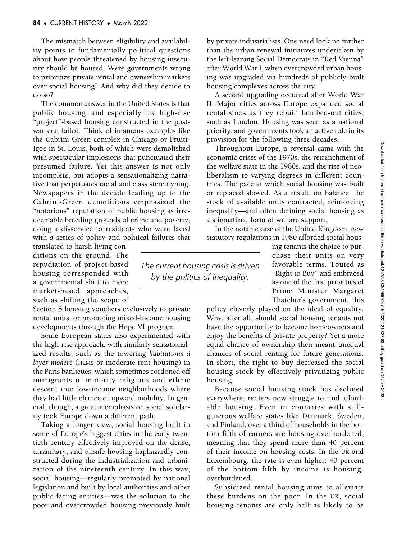The mismatch between eligibility and availability points to fundamentally political questions about how people threatened by housing insecurity should be housed. Were governments wrong to prioritize private rental and ownership markets over social housing? And why did they decide to do so?

The common answer in the United States is that public housing, and especially the high-rise "project"-based housing constructed in the postwar era, failed. Think of infamous examples like the Cabrini Green complex in Chicago or Pruitt-Igoe in St. Louis, both of which were demolished with spectacular implosions that punctuated their presumed failure. Yet this answer is not only incomplete, but adopts a sensationalizing narrative that perpetuates racial and class stereotyping. Newspapers in the decade leading up to the Cabrini-Green demolitions emphasized the "notorious" reputation of public housing as irredeemable breeding grounds of crime and poverty, doing a disservice to residents who were faced with a series of policy and political failures that

translated to harsh living conditions on the ground. The repudiation of project-based housing corresponded with a governmental shift to more market-based approaches, such as shifting the scope of

Section 8 housing vouchers exclusively to private rental units, or promoting mixed-income housing developments through the Hope VI program.

Some European states also experimented with the high-rise approach, with similarly sensationalized results, such as the towering habitations  $\hat{a}$ loyer modéré (HLMs or moderate-rent housing) in the Paris banlieues, which sometimes cordoned off immigrants of minority religious and ethnic descent into low-income neighborhoods where they had little chance of upward mobility. In general, though, a greater emphasis on social solidarity took Europe down a different path.

Taking a longer view, social housing built in some of Europe's biggest cities in the early twentieth century effectively improved on the dense, unsanitary, and unsafe housing haphazardly constructed during the industrialization and urbanization of the nineteenth century. In this way, social housing—regularly promoted by national legislation and built by local authorities and other public-facing entities—was the solution to the poor and overcrowded housing previously built by private industrialists. One need look no further than the urban renewal initiatives undertaken by the left-leaning Social Democrats in "Red Vienna" after World War I, when overcrowded urban housing was upgraded via hundreds of publicly built housing complexes across the city.

A second upgrading occurred after World War II. Major cities across Europe expanded social rental stock as they rebuilt bombed-out cities, such as London. Housing was seen as a national priority, and governments took an active role in its provision for the following three decades.

Throughout Europe, a reversal came with the economic crises of the 1970s, the retrenchment of the welfare state in the 1980s, and the rise of neoliberalism to varying degrees in different countries. The pace at which social housing was built or replaced slowed. As a result, on balance, the stock of available units contracted, reinforcing inequality—and often defining social housing as a stigmatized form of welfare support.

In the notable case of the United Kingdom, new statutory regulations in 1980 afforded social hous-

The current housing crisis is driven by the politics of inequality.

ing tenants the choice to purchase their units on very favorable terms. Touted as "Right to Buy" and embraced as one of the first priorities of Prime Minister Margaret Thatcher's government, this

policy cleverly played on the ideal of equality. Why, after all, should social housing tenants not have the opportunity to become homeowners and enjoy the benefits of private property? Yet a more equal chance of ownership then meant unequal chances of social renting for future generations. In short, the right to buy decreased the social housing stock by effectively privatizing public housing.

Because social housing stock has declined everywhere, renters now struggle to find affordable housing. Even in countries with stillgenerous welfare states like Denmark, Sweden, and Finland, over a third of households in the bottom fifth of earners are housing-overburdened, meaning that they spend more than 40 percent of their income on housing costs. In the UK and Luxembourg, the rate is even higher: 40 percent of the bottom fifth by income is housingoverburdened.

Subsidized rental housing aims to alleviate these burdens on the poor. In the UK, social housing tenants are only half as likely to be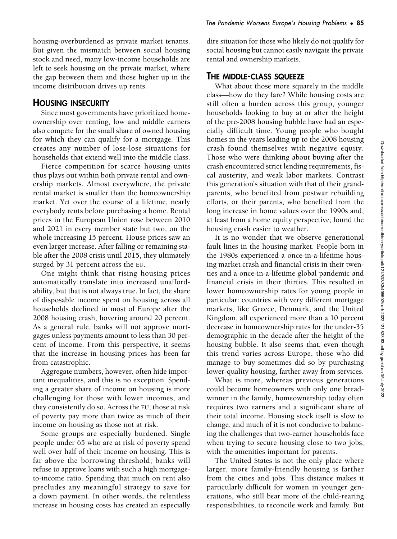housing-overburdened as private market tenants. But given the mismatch between social housing stock and need, many low-income households are left to seek housing on the private market, where the gap between them and those higher up in the income distribution drives up rents.

#### HOUSING INSECURITY

Since most governments have prioritized homeownership over renting, low and middle earners also compete for the small share of owned housing for which they can qualify for a mortgage. This creates any number of lose-lose situations for households that extend well into the middle class.

Fierce competition for scarce housing units thus plays out within both private rental and ownership markets. Almost everywhere, the private rental market is smaller than the homeownership market. Yet over the course of a lifetime, nearly everybody rents before purchasing a home. Rental prices in the European Union rose between 2010 and 2021 in every member state but two, on the whole increasing 15 percent. House prices saw an even larger increase. After falling or remaining stable after the 2008 crisis until 2015, they ultimately surged by 31 percent across the EU.

One might think that rising housing prices automatically translate into increased unaffordability, but that is not always true. In fact, the share of disposable income spent on housing across all households declined in most of Europe after the 2008 housing crash, hovering around 20 percent. As a general rule, banks will not approve mortgages unless payments amount to less than 30 percent of income. From this perspective, it seems that the increase in housing prices has been far from catastrophic.

Aggregate numbers, however, often hide important inequalities, and this is no exception. Spending a greater share of income on housing is more challenging for those with lower incomes, and they consistently do so. Across the EU, those at risk of poverty pay more than twice as much of their income on housing as those not at risk.

Some groups are especially burdened. Single people under 65 who are at risk of poverty spend well over half of their income on housing. This is far above the borrowing threshold; banks will refuse to approve loans with such a high mortgageto-income ratio. Spending that much on rent also precludes any meaningful strategy to save for a down payment. In other words, the relentless increase in housing costs has created an especially dire situation for those who likely do not qualify for social housing but cannot easily navigate the private rental and ownership markets.

#### THE MIDDLE-CLASS SQUEEZE

What about those more squarely in the middle class—how do they fare? While housing costs are still often a burden across this group, younger households looking to buy at or after the height of the pre-2008 housing bubble have had an especially difficult time. Young people who bought homes in the years leading up to the 2008 housing crash found themselves with negative equity. Those who were thinking about buying after the crash encountered strict lending requirements, fiscal austerity, and weak labor markets. Contrast this generation's situation with that of their grandparents, who benefited from postwar rebuilding efforts, or their parents, who benefited from the long increase in home values over the 1990s and, at least from a home equity perspective, found the housing crash easier to weather.

It is no wonder that we observe generational fault lines in the housing market. People born in the 1980s experienced a once-in-a-lifetime housing market crash and financial crisis in their twenties and a once-in-a-lifetime global pandemic and financial crisis in their thirties. This resulted in lower homeownership rates for young people in particular: countries with very different mortgage markets, like Greece, Denmark, and the United Kingdom, all experienced more than a 10 percent decrease in homeownership rates for the under-35 demographic in the decade after the height of the housing bubble. It also seems that, even though this trend varies across Europe, those who did manage to buy sometimes did so by purchasing lower-quality housing, farther away from services.

What is more, whereas previous generations could become homeowners with only one breadwinner in the family, homeownership today often requires two earners and a significant share of their total income. Housing stock itself is slow to change, and much of it is not conducive to balancing the challenges that two-earner households face when trying to secure housing close to two jobs, with the amenities important for parents.

The United States is not the only place where larger, more family-friendly housing is farther from the cities and jobs. This distance makes it particularly difficult for women in younger generations, who still bear more of the child-rearing responsibilities, to reconcile work and family. But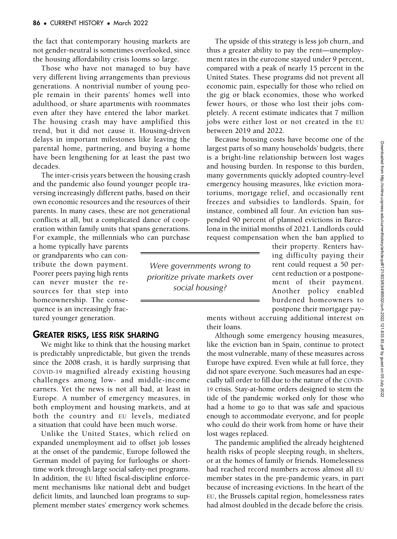the fact that contemporary housing markets are not gender-neutral is sometimes overlooked, since the housing affordability crisis looms so large.

Those who have not managed to buy have very different living arrangements than previous generations. A nontrivial number of young people remain in their parents' homes well into adulthood, or share apartments with roommates even after they have entered the labor market. The housing crash may have amplified this trend, but it did not cause it. Housing-driven delays in important milestones like leaving the parental home, partnering, and buying a home have been lengthening for at least the past two decades.

The inter-crisis years between the housing crash and the pandemic also found younger people traversing increasingly different paths, based on their own economic resources and the resources of their parents. In many cases, these are not generational conflicts at all, but a complicated dance of cooperation within family units that spans generations. For example, the millennials who can purchase

a home typically have parents or grandparents who can contribute the down payment. Poorer peers paying high rents can never muster the resources for that step into homeownership. The consequence is an increasingly fractured younger generation.

#### GREATER RISKS, LESS RISK SHARING

We might like to think that the housing market is predictably unpredictable, but given the trends since the 2008 crash, it is hardly surprising that COVID-19 magnified already existing housing challenges among low- and middle-income earners. Yet the news is not all bad, at least in Europe. A number of emergency measures, in both employment and housing markets, and at both the country and EU levels, mediated a situation that could have been much worse.

Unlike the United States, which relied on expanded unemployment aid to offset job losses at the onset of the pandemic, Europe followed the German model of paying for furloughs or shorttime work through large social safety-net programs. In addition, the EU lifted fiscal-discipline enforcement mechanisms like national debt and budget deficit limits, and launched loan programs to supplement member states' emergency work schemes.

The upside of this strategy is less job churn, and thus a greater ability to pay the rent—unemployment rates in the eurozone stayed under 9 percent, compared with a peak of nearly 15 percent in the United States. These programs did not prevent all economic pain, especially for those who relied on the gig or black economies, those who worked fewer hours, or those who lost their jobs completely. A recent estimate indicates that 7 million jobs were either lost or not created in the EU between 2019 and 2022.

Because housing costs have become one of the largest parts of so many households' budgets, there is a bright-line relationship between lost wages and housing burden. In response to this burden, many governments quickly adopted country-level emergency housing measures, like eviction moratoriums, mortgage relief, and occasionally rent freezes and subsidies to landlords. Spain, for instance, combined all four. An eviction ban suspended 90 percent of planned evictions in Barcelona in the initial months of 2021. Landlords could request compensation when the ban applied to

Were governments wrong to prioritize private markets over social housing?

their property. Renters having difficulty paying their rent could request a 50 percent reduction or a postponement of their payment. Another policy enabled burdened homeowners to postpone their mortgage pay-

ments without accruing additional interest on their loans.

Although some emergency housing measures, like the eviction ban in Spain, continue to protect the most vulnerable, many of these measures across Europe have expired. Even while at full force, they did not spare everyone. Such measures had an especially tall order to fill due to the nature of the COVID-19 crisis. Stay-at-home orders designed to stem the tide of the pandemic worked only for those who had a home to go to that was safe and spacious enough to accommodate everyone, and for people who could do their work from home or have their lost wages replaced.

The pandemic amplified the already heightened health risks of people sleeping rough, in shelters, or at the homes of family or friends. Homelessness had reached record numbers across almost all EU member states in the pre-pandemic years, in part because of increasing evictions. In the heart of the EU, the Brussels capital region, homelessness rates had almost doubled in the decade before the crisis.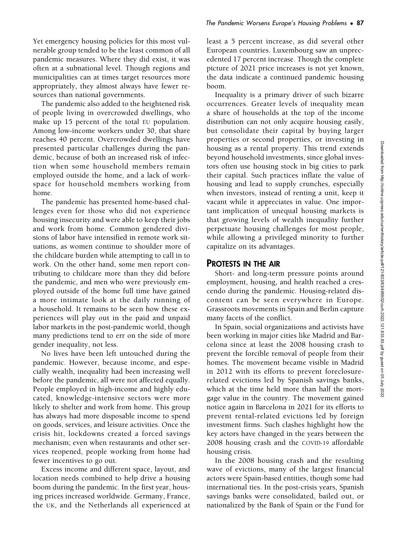sources than national governments. The pandemic also added to the heightened risk of people living in overcrowded dwellings, who make up 15 percent of the total EU population. Among low-income workers under 30, that share reaches 40 percent. Overcrowded dwellings have presented particular challenges during the pandemic, because of both an increased risk of infection when some household members remain employed outside the home, and a lack of workspace for household members working from home.

appropriately, they almost always have fewer re-

The pandemic has presented home-based challenges even for those who did not experience housing insecurity and were able to keep their jobs and work from home. Common gendered divisions of labor have intensified in remote work situations, as women continue to shoulder more of the childcare burden while attempting to call in to work. On the other hand, some men report contributing to childcare more than they did before the pandemic, and men who were previously employed outside of the home full time have gained a more intimate look at the daily running of a household. It remains to be seen how these experiences will play out in the paid and unpaid labor markets in the post-pandemic world, though many predictions tend to err on the side of more gender inequality, not less.

No lives have been left untouched during the pandemic. However, because income, and especially wealth, inequality had been increasing well before the pandemic, all were not affected equally. People employed in high-income and highly educated, knowledge-intensive sectors were more likely to shelter and work from home. This group has always had more disposable income to spend on goods, services, and leisure activities. Once the crisis hit, lockdowns created a forced savings mechanism; even when restaurants and other services reopened, people working from home had fewer incentives to go out.

Excess income and different space, layout, and location needs combined to help drive a housing boom during the pandemic. In the first year, housing prices increased worldwide. Germany, France, the UK, and the Netherlands all experienced at

least a 5 percent increase, as did several other European countries. Luxembourg saw an unprecedented 17 percent increase. Though the complete picture of 2021 price increases is not yet known, the data indicate a continued pandemic housing boom.

Inequality is a primary driver of such bizarre occurrences. Greater levels of inequality mean a share of households at the top of the income distribution can not only acquire housing easily, but consolidate their capital by buying larger properties or second properties, or investing in housing as a rental property. This trend extends beyond household investments, since global investors often use housing stock in big cities to park their capital. Such practices inflate the value of housing and lead to supply crunches, especially when investors, instead of renting a unit, keep it vacant while it appreciates in value. One important implication of unequal housing markets is that growing levels of wealth inequality further perpetuate housing challenges for most people, while allowing a privileged minority to further capitalize on its advantages.

### PROTESTS IN THE AIR

Short- and long-term pressure points around employment, housing, and health reached a crescendo during the pandemic. Housing-related discontent can be seen everywhere in Europe. Grassroots movements in Spain and Berlin capture many facets of the conflict.

In Spain, social organizations and activists have been working in major cities like Madrid and Barcelona since at least the 2008 housing crash to prevent the forcible removal of people from their homes. The movement became visible in Madrid in 2012 with its efforts to prevent foreclosurerelated evictions led by Spanish savings banks, which at the time held more than half the mortgage value in the country. The movement gained notice again in Barcelona in 2021 for its efforts to prevent rental-related evictions led by foreign investment firms. Such clashes highlight how the key actors have changed in the years between the 2008 housing crash and the COVID-19 affordable housing crisis.

In the 2008 housing crash and the resulting wave of evictions, many of the largest financial actors were Spain-based entities, though some had international ties. In the post-crisis years, Spanish savings banks were consolidated, bailed out, or nationalized by the Bank of Spain or the Fund for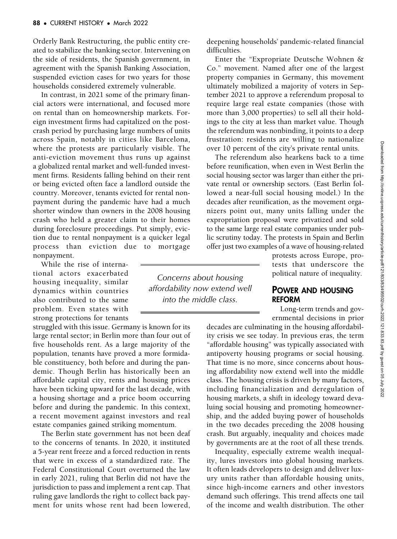Orderly Bank Restructuring, the public entity created to stabilize the banking sector. Intervening on the side of residents, the Spanish government, in agreement with the Spanish Banking Association, suspended eviction cases for two years for those households considered extremely vulnerable.

In contrast, in 2021 some of the primary financial actors were international, and focused more on rental than on homeownership markets. Foreign investment firms had capitalized on the postcrash period by purchasing large numbers of units across Spain, notably in cities like Barcelona, where the protests are particularly visible. The anti-eviction movement thus runs up against a globalized rental market and well-funded investment firms. Residents falling behind on their rent or being evicted often face a landlord outside the country. Moreover, tenants evicted for rental nonpayment during the pandemic have had a much shorter window than owners in the 2008 housing crash who held a greater claim to their homes during foreclosure proceedings. Put simply, eviction due to rental nonpayment is a quicker legal process than eviction due to mortgage nonpayment.

While the rise of international actors exacerbated housing inequality, similar dynamics within countries also contributed to the same problem. Even states with strong protections for tenants

struggled with this issue. Germany is known for its large rental sector; in Berlin more than four out of five households rent. As a large majority of the population, tenants have proved a more formidable constituency, both before and during the pandemic. Though Berlin has historically been an affordable capital city, rents and housing prices have been ticking upward for the last decade, with a housing shortage and a price boom occurring before and during the pandemic. In this context, a recent movement against investors and real estate companies gained striking momentum.

The Berlin state government has not been deaf to the concerns of tenants. In 2020, it instituted a 5-year rent freeze and a forced reduction in rents that were in excess of a standardized rate. The Federal Constitutional Court overturned the law in early 2021, ruling that Berlin did not have the jurisdiction to pass and implement a rent cap. That ruling gave landlords the right to collect back payment for units whose rent had been lowered,

deepening households' pandemic-related financial difficulties.

Enter the "Expropriate Deutsche Wohnen & Co." movement. Named after one of the largest property companies in Germany, this movement ultimately mobilized a majority of voters in September 2021 to approve a referendum proposal to require large real estate companies (those with more than 3,000 properties) to sell all their holdings to the city at less than market value. Though the referendum was nonbinding, it points to a deep frustration: residents are willing to nationalize over 10 percent of the city's private rental units.

The referendum also hearkens back to a time before reunification, when even in West Berlin the social housing sector was larger than either the private rental or ownership sectors. (East Berlin followed a near-full social housing model.) In the decades after reunification, as the movement organizers point out, many units falling under the expropriation proposal were privatized and sold to the same large real estate companies under public scrutiny today. The protests in Spain and Berlin offer just two examples of a wave of housing-related

Concerns about housing affordability now extend well into the middle class.

protests across Europe, protests that underscore the political nature of inequality.

#### POWER AND HOUSING REFORM

Long-term trends and governmental decisions in prior

decades are culminating in the housing affordability crisis we see today. In previous eras, the term "affordable housing" was typically associated with antipoverty housing programs or social housing. That time is no more, since concerns about housing affordability now extend well into the middle class. The housing crisis is driven by many factors, including financialization and deregulation of housing markets, a shift in ideology toward devaluing social housing and promoting homeownership, and the added buying power of households in the two decades preceding the 2008 housing crash. But arguably, inequality and choices made by governments are at the root of all these trends.

Inequality, especially extreme wealth inequality, lures investors into global housing markets. It often leads developers to design and deliver luxury units rather than affordable housing units, since high-income earners and other investors demand such offerings. This trend affects one tail of the income and wealth distribution. The other